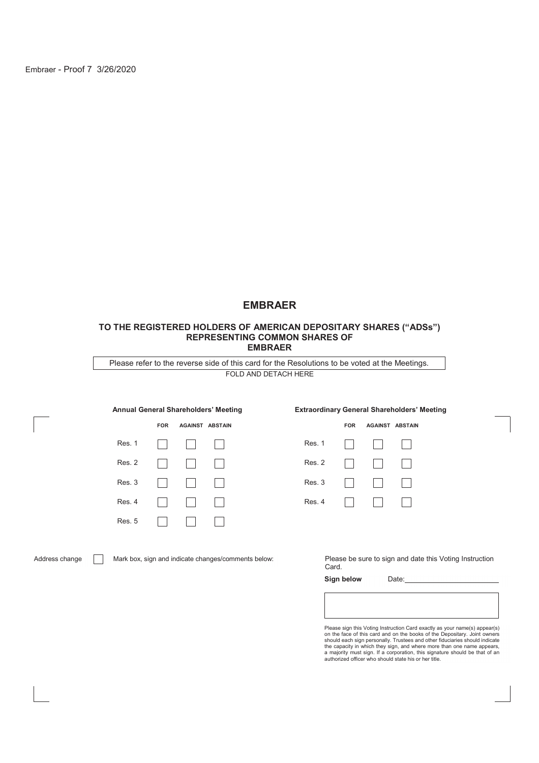Embraer - Proof 7 3/26/2020

# **EMBRAER**

#### **TO THE REGISTERED HOLDERS OF AMERICAN DEPOSITARY SHARES ("ADSs") REPRESENTING COMMON SHARES OF EMBRAER**

FOLD AND DETACH HERE Please refer to the reverse side of this card for the Resolutions to be voted at the Meetings.

|               | <b>FOR</b> | <b>AGAINST ABSTAIN</b> |        |
|---------------|------------|------------------------|--------|
| Res. 1        |            |                        | Res. 1 |
| Res. 2        |            |                        | Res. 2 |
| Res. 3        |            |                        | Res. 3 |
| Res. 4        |            |                        | Res. 4 |
| <b>Res. 5</b> |            |                        |        |

#### **Annual General Shareholders' Meeting Extraordinary General Shareholders' Meeting**

|                           | FOR AGAINST ABSTAIN |  | <b>FOR</b>                                                                 | <b>AGAINST ABSTAIN</b> |  |
|---------------------------|---------------------|--|----------------------------------------------------------------------------|------------------------|--|
|                           | .                   |  | Res. 1 $\Box$ $\Box$                                                       |                        |  |
|                           |                     |  | Res. 2 $  $ $  $ $  $ $  $                                                 |                        |  |
|                           | 11 11 11            |  | Res. 3 $\vert \vert \vert \vert \vert \vert \vert \vert \vert \vert \vert$ |                        |  |
| $\mathbf{I} = \mathbf{I}$ |                     |  | $Res. 4$                                                                   |                        |  |

Address change Mark box, sign and indicate changes/comments below: Please be sure to sign and date this Voting Instruction Card.

Sign below Date:

Please sign this Voting Instruction Card exactly as your name(s) appear(s)<br>on the face of this card and on the books of the Depositary. Joint owners<br>should each sign personally. Trustees and other fiduciaries should indica